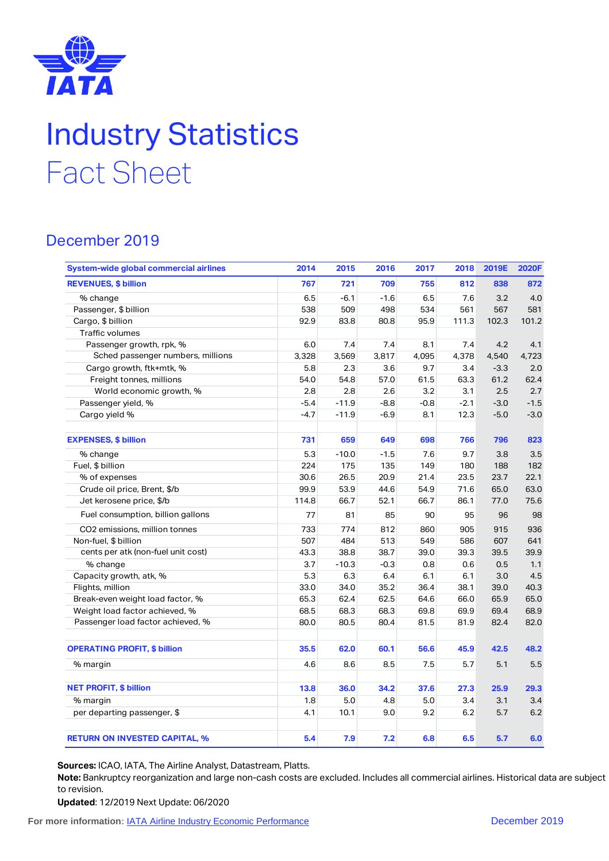

## Industry Statistics Fact Sheet

## December 2019

| System-wide global commercial airlines | 2014   | 2015    | 2016   | 2017   | 2018   | 2019E  | 2020F  |
|----------------------------------------|--------|---------|--------|--------|--------|--------|--------|
| <b>REVENUES, \$ billion</b>            | 767    | 721     | 709    | 755    | 812    | 838    | 872    |
| % change                               | 6.5    | $-6.1$  | $-1.6$ | 6.5    | 7.6    | 3.2    | 4.0    |
| Passenger, \$ billion                  | 538    | 509     | 498    | 534    | 561    | 567    | 581    |
| Cargo, \$ billion                      | 92.9   | 83.8    | 80.8   | 95.9   | 111.3  | 102.3  | 101.2  |
| Traffic volumes                        |        |         |        |        |        |        |        |
| Passenger growth, rpk, %               | 6.0    | 7.4     | 7.4    | 8.1    | 7.4    | 4.2    | 4.1    |
| Sched passenger numbers, millions      | 3,328  | 3,569   | 3,817  | 4,095  | 4,378  | 4,540  | 4,723  |
| Cargo growth, ftk+mtk, %               | 5.8    | 2.3     | 3.6    | 9.7    | 3.4    | $-3.3$ | 2.0    |
| Freight tonnes, millions               | 54.0   | 54.8    | 57.0   | 61.5   | 63.3   | 61.2   | 62.4   |
| World economic growth, %               | 2.8    | 2.8     | 2.6    | 3.2    | 3.1    | 2.5    | 2.7    |
| Passenger yield, %                     | $-5.4$ | $-11.9$ | $-8.8$ | $-0.8$ | $-2.1$ | $-3.0$ | $-1.5$ |
| Cargo yield %                          | $-4.7$ | $-11.9$ | $-6.9$ | 8.1    | 12.3   | $-5.0$ | $-3.0$ |
| <b>EXPENSES, \$ billion</b>            | 731    | 659     | 649    | 698    | 766    | 796    | 823    |
| % change                               | 5.3    | $-10.0$ | $-1.5$ | 7.6    | 9.7    | 3.8    | 3.5    |
| Fuel, \$ billion                       | 224    | 175     | 135    | 149    | 180    | 188    | 182    |
| % of expenses                          | 30.6   | 26.5    | 20.9   | 21.4   | 23.5   | 23.7   | 22.1   |
| Crude oil price, Brent, \$/b           | 99.9   | 53.9    | 44.6   | 54.9   | 71.6   | 65.0   | 63.0   |
| Jet kerosene price, \$/b               | 114.8  | 66.7    | 52.1   | 66.7   | 86.1   | 77.0   | 75.6   |
| Fuel consumption, billion gallons      | 77     | 81      | 85     | 90     | 95     | 96     | 98     |
| CO2 emissions, million tonnes          | 733    | 774     | 812    | 860    | 905    | 915    | 936    |
| Non-fuel, \$ billion                   | 507    | 484     | 513    | 549    | 586    | 607    | 641    |
| cents per atk (non-fuel unit cost)     | 43.3   | 38.8    | 38.7   | 39.0   | 39.3   | 39.5   | 39.9   |
| % change                               | 3.7    | $-10.3$ | $-0.3$ | 0.8    | 0.6    | 0.5    | 1.1    |
| Capacity growth, atk, %                | 5.3    | 6.3     | 6.4    | 6.1    | 6.1    | 3.0    | 4.5    |
| Flights, million                       | 33.0   | 34.0    | 35.2   | 36.4   | 38.1   | 39.0   | 40.3   |
| Break-even weight load factor, %       | 65.3   | 62.4    | 62.5   | 64.6   | 66.0   | 65.9   | 65.0   |
| Weight load factor achieved, %         | 68.5   | 68.3    | 68.3   | 69.8   | 69.9   | 69.4   | 68.9   |
| Passenger load factor achieved, %      | 80.0   | 80.5    | 80.4   | 81.5   | 81.9   | 82.4   | 82.0   |
| <b>OPERATING PROFIT, \$ billion</b>    | 35.5   | 62.0    | 60.1   | 56.6   | 45.9   | 42.5   | 48.2   |
| % margin                               | 4.6    | 8.6     | 8.5    | 7.5    | 5.7    | 5.1    | 5.5    |
| <b>NET PROFIT, \$ billion</b>          | 13.8   | 36.0    | 34.2   | 37.6   | 27.3   | 25.9   | 29.3   |
| % margin                               | 1.8    | 5.0     | 4.8    | 5.0    | 3.4    | 3.1    | 3.4    |
| per departing passenger, \$            | 4.1    | 10.1    | 9.0    | 9.2    | 6.2    | 5.7    | 6.2    |
| <b>RETURN ON INVESTED CAPITAL, %</b>   | 5.4    | 7.9     | 7.2    | 6.8    | 6.5    | 5.7    | 6.0    |

**Sources:** ICAO, IATA, The Airline Analyst, Datastream, Platts.

**Note:** Bankruptcy reorganization and large non-cash costs are excluded. Includes all commercial airlines. Historical data are subject to revision.

**Updated**: 12/2019 Next Update: 06/2020